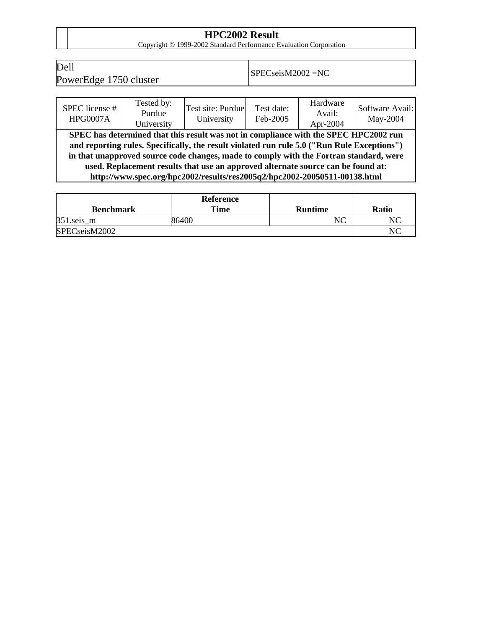**HPC2002 Result**<br>
Copyright © 1999-2002 Standard Performance Evaluation Corporation

Dell

 $P$ om SPECseisM2002 = NC<br>PowerEdge 1750 cluster  $SP$ ECseisM2002 = NC

| SPEC license #<br><b>HPG0007A</b>                                                                                                                                                                                                                                                                                                                                                                                                              | Tested by:<br>Purdue<br>University | Test site: Purdue<br>University | Test date:<br>Feb-2005 | Hardware<br>Avail:<br>Apr-2004 | Software Avail:<br>May-2004 |  |  |
|------------------------------------------------------------------------------------------------------------------------------------------------------------------------------------------------------------------------------------------------------------------------------------------------------------------------------------------------------------------------------------------------------------------------------------------------|------------------------------------|---------------------------------|------------------------|--------------------------------|-----------------------------|--|--|
| SPEC has determined that this result was not in compliance with the SPEC HPC2002 run<br>and reporting rules. Specifically, the result violated run rule 5.0 ("Run Rule Exceptions")<br>in that unapproved source code changes, made to comply with the Fortran standard, were<br>used. Replacement results that use an approved alternate source can be found at:<br>http://www.spec.org/hpc2002/results/res2005q2/hpc2002-20050511-00138.html |                                    |                                 |                        |                                |                             |  |  |

|                  | Reference |                |              |
|------------------|-----------|----------------|--------------|
| <b>Benchmark</b> | Time      | <b>Runtime</b> | <b>Ratio</b> |
| $351$ .seis_m    | 86400     | NC             |              |
| SPECseisM2002    | NC        |                |              |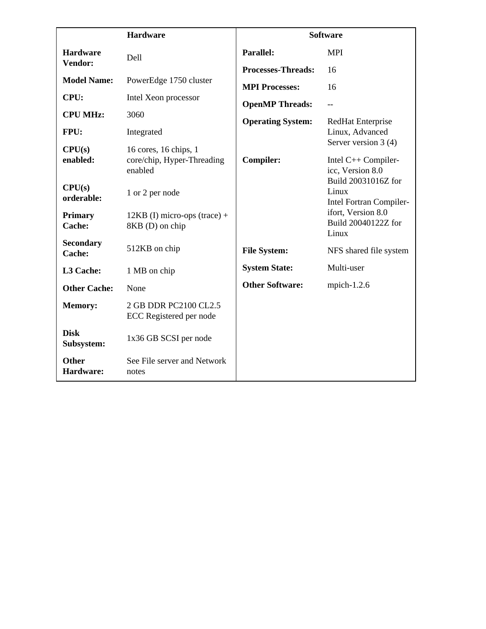|                            | <b>Hardware</b>                                                | <b>Software</b>           |                                                                |  |
|----------------------------|----------------------------------------------------------------|---------------------------|----------------------------------------------------------------|--|
| <b>Hardware</b>            | Dell                                                           | <b>Parallel:</b>          | <b>MPI</b>                                                     |  |
| Vendor:                    |                                                                | <b>Processes-Threads:</b> | 16                                                             |  |
| <b>Model Name:</b>         | PowerEdge 1750 cluster                                         | <b>MPI Processes:</b>     | 16                                                             |  |
| CPU:                       | Intel Xeon processor                                           | <b>OpenMP Threads:</b>    | $-$                                                            |  |
| <b>CPU MHz:</b>            | 3060                                                           | <b>Operating System:</b>  |                                                                |  |
| FPU:                       | Integrated                                                     |                           | RedHat Enterprise<br>Linux, Advanced<br>Server version 3 (4)   |  |
| CPU(s)<br>enabled:         | 16 cores, 16 chips, 1<br>core/chip, Hyper-Threading<br>enabled | <b>Compiler:</b>          | Intel C++ Compiler-<br>icc, Version 8.0<br>Build 20031016Z for |  |
| CPU(s)<br>orderable:       | 1 or 2 per node                                                |                           | Linux<br>Intel Fortran Compiler-                               |  |
| <b>Primary</b><br>Cache:   | $12KB$ (I) micro-ops (trace) +<br>8KB (D) on chip              |                           | ifort, Version 8.0<br>Build 20040122Z for<br>Linux             |  |
| <b>Secondary</b><br>Cache: | 512KB on chip                                                  | <b>File System:</b>       | NFS shared file system                                         |  |
| L3 Cache:                  | 1 MB on chip                                                   | <b>System State:</b>      | Multi-user                                                     |  |
| <b>Other Cache:</b>        | None                                                           | <b>Other Software:</b>    | mpich- $1.2.6$                                                 |  |
| <b>Memory:</b>             | 2 GB DDR PC2100 CL2.5<br>ECC Registered per node               |                           |                                                                |  |
| <b>Disk</b><br>Subsystem:  | 1x36 GB SCSI per node                                          |                           |                                                                |  |
| <b>Other</b><br>Hardware:  | See File server and Network<br>notes                           |                           |                                                                |  |